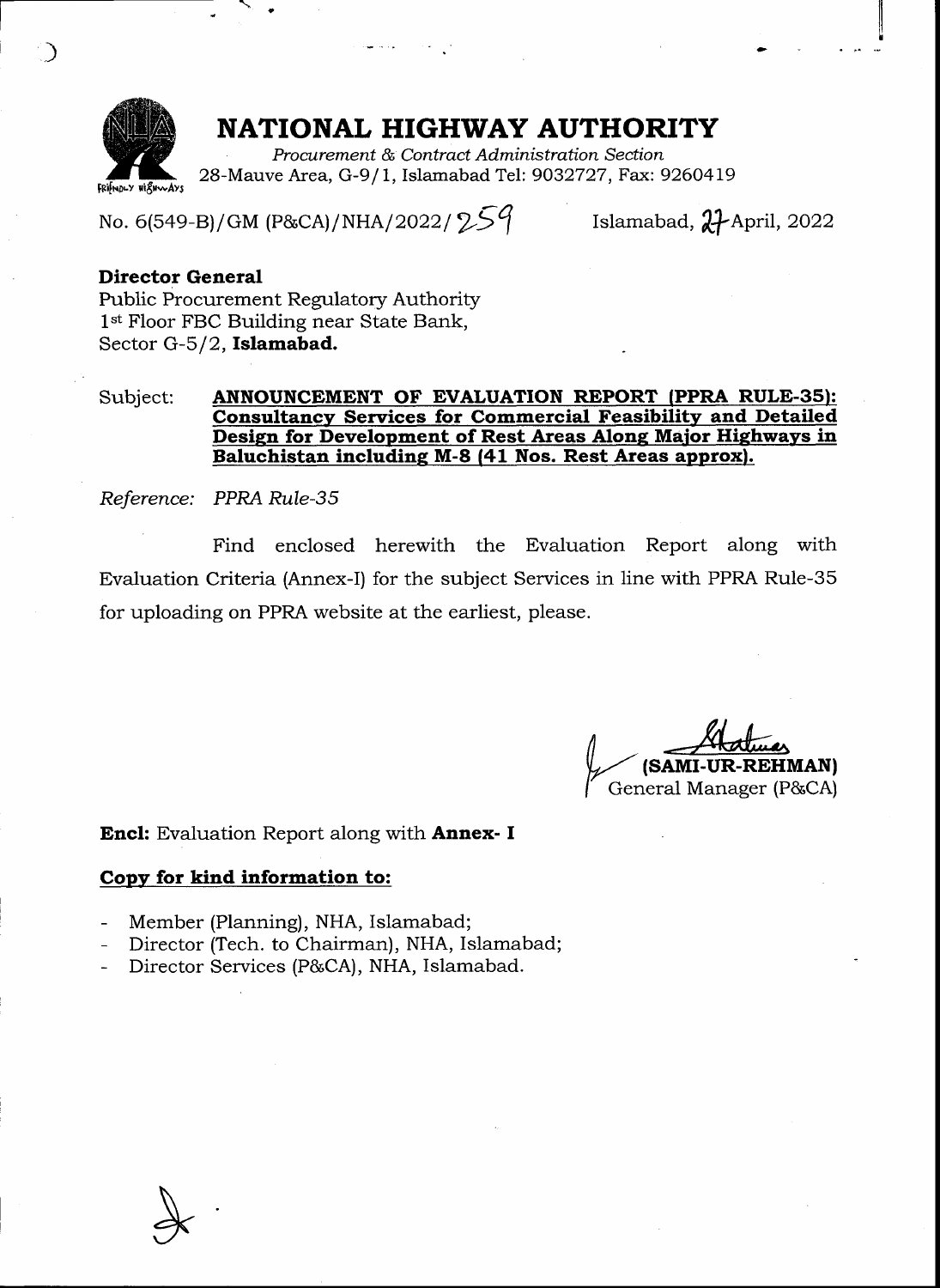

 $\overline{a}$ 

## NATIONAL HIGHWAY AUTHORITY

Procwrement & Contract Administration Section 28-Mauve Area, G-9/1, Islamabad Tel: 9032727, Fax: 9260419

No. 6(549-B)/GM (P&CA)/NHA/2022/2 $59$ 

Islamabad,  $\mathcal{H}$ April, 2022

tl it I

## Director General

Fublic Procurement Regulatory Authority 1<sup>st</sup> Floor FBC Building near State Bank, Sector G-5/2, Islamabad.

## Subject: ANNOUNCEMENT OF EVALUATION REPORT (PPRA RULE-35): Consultancy Services for Commercial Feasibility and Detailed Design for Development of Rest Areas Along Major Highways in Baluchistan including M-8 (41 Nos. Rest Areas approx).

Reference: PPRA Rule-S5

Find enclosed herewith the Evaluation Report along with Evaluation Criteria (Annex-I) for the subject Services in line with PPRA Rule-35 for uploading on PPRA website at the earliest, please.

(SAMI-UR-REHMAN) I General Manager (P&CA)

**Encl:** Evaluation Report along with **Annex- I** 

## Copy for kind information to:

- Member (Planning), NHA, Islamabad;
- Director (Tech. to Chairman), NHA, Islamabad;
- Director Services (P&CA), NHA, Islamabad.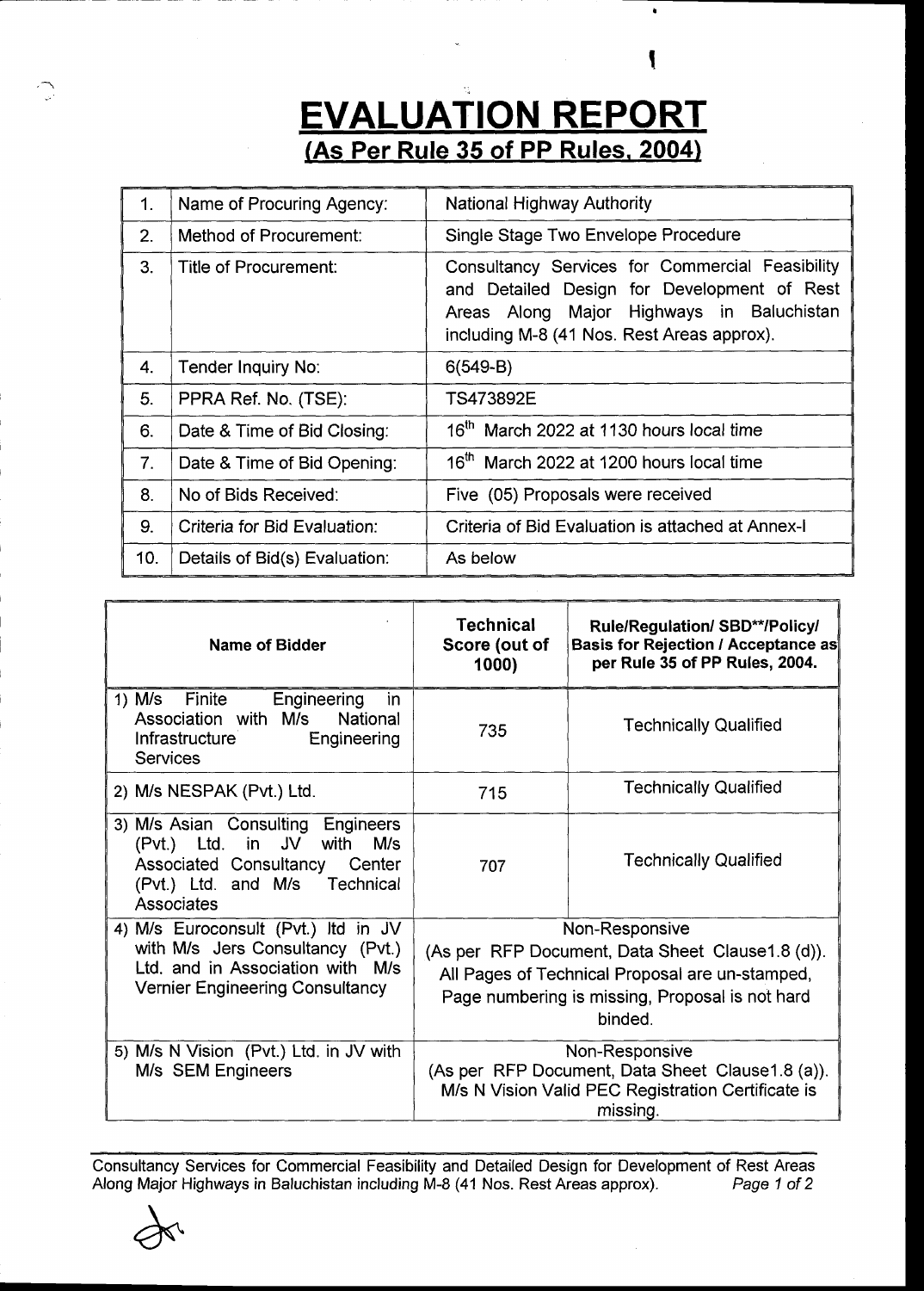## **EVALUATION REPORT** (As Per Rule 35 of PP Rules, 2004)

| 1.             | Name of Procuring Agency:     | <b>National Highway Authority</b>                                                                                                                                                         |  |  |  |  |
|----------------|-------------------------------|-------------------------------------------------------------------------------------------------------------------------------------------------------------------------------------------|--|--|--|--|
| 2.             | Method of Procurement:        | Single Stage Two Envelope Procedure                                                                                                                                                       |  |  |  |  |
| 3.             | Title of Procurement:         | Consultancy Services for Commercial Feasibility<br>and Detailed Design for Development of Rest<br>Areas Along Major Highways in Baluchistan<br>including M-8 (41 Nos. Rest Areas approx). |  |  |  |  |
| 4.             | Tender Inquiry No:            | $6(549-B)$                                                                                                                                                                                |  |  |  |  |
| 5.             | PPRA Ref. No. (TSE):          | TS473892E                                                                                                                                                                                 |  |  |  |  |
| 6.             | Date & Time of Bid Closing:   | 16 <sup>th</sup> March 2022 at 1130 hours local time                                                                                                                                      |  |  |  |  |
| 7 <sub>1</sub> | Date & Time of Bid Opening:   | 16 <sup>th</sup> March 2022 at 1200 hours local time                                                                                                                                      |  |  |  |  |
| 8.             | No of Bids Received:          | Five (05) Proposals were received                                                                                                                                                         |  |  |  |  |
| 9.             | Criteria for Bid Evaluation:  | Criteria of Bid Evaluation is attached at Annex-I                                                                                                                                         |  |  |  |  |
| 10.            | Details of Bid(s) Evaluation: | As below                                                                                                                                                                                  |  |  |  |  |

| Name of Bidder                                                                                                                                        | <b>Technical</b><br>Score (out of<br>1000)                                                                                                                                           | <b>Rule/Regulation/ SBD**/Policy/</b><br>Basis for Rejection / Acceptance as<br>per Rule 35 of PP Rules, 2004. |  |  |  |
|-------------------------------------------------------------------------------------------------------------------------------------------------------|--------------------------------------------------------------------------------------------------------------------------------------------------------------------------------------|----------------------------------------------------------------------------------------------------------------|--|--|--|
| 1) M/s Finite<br>Engineering<br>in.<br>Association with M/s<br>National<br>Infrastructure<br>Engineering<br><b>Services</b>                           | 735                                                                                                                                                                                  | <b>Technically Qualified</b>                                                                                   |  |  |  |
| 2) M/s NESPAK (Pvt.) Ltd.                                                                                                                             | 715                                                                                                                                                                                  | <b>Technically Qualified</b>                                                                                   |  |  |  |
| 3) M/s Asian Consulting Engineers<br>(Pvt.) Ltd. in JV with M/s<br>Associated Consultancy Center<br>(Pvt.) Ltd. and M/s Technical<br>Associates       | 707                                                                                                                                                                                  | <b>Technically Qualified</b>                                                                                   |  |  |  |
| 4) M/s Euroconsult (Pvt.) Itd in JV<br>with M/s Jers Consultancy (Pvt.)<br>Ltd. and in Association with M/s<br><b>Vernier Engineering Consultancy</b> | Non-Responsive<br>(As per RFP Document, Data Sheet Clause 1.8 (d)).<br>All Pages of Technical Proposal are un-stamped,<br>Page numbering is missing, Proposal is not hard<br>binded. |                                                                                                                |  |  |  |
| 5) M/s N Vision (Pvt.) Ltd. in JV with<br>M/s SEM Engineers                                                                                           | Non-Responsive<br>(As per RFP Document, Data Sheet Clause 1.8 (a)).<br>M/s N Vision Valid PEC Registration Certificate is<br>missing.                                                |                                                                                                                |  |  |  |

Consultancy Services for Commercial Feasibility and Detailed Design for Development of Rest Areas Along Major Highways in Baluchistan including M-8 (41 Nos. Rest Areas approx). Page 1 of 2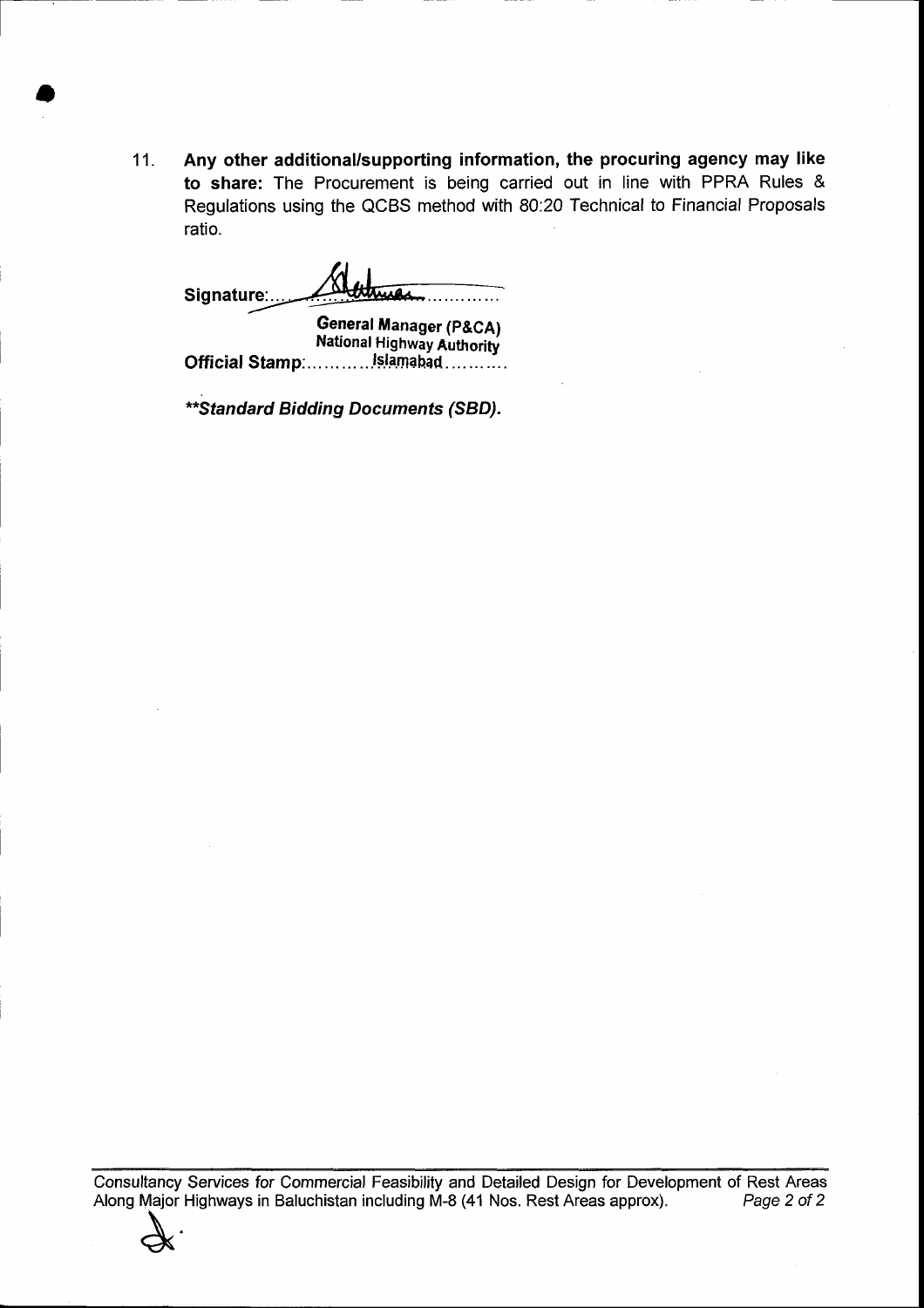11. Any other additional/supporting information, the procuring agency may like to share: The Procurement is being carried out in line with PPRA Rules & Regulations using the QCBS method with 80:20 Technical to Financial Proposals ratio.

Signature:

t-

a

General Manager (P&CA) National Highway Authority Official Stamp:...........Islamabad...........

\*\* Standard Bidding Documents (SBD).

Consu Itancy Services for Commercial Feasibility and Detailed Design for Development of Rest Areas Along Major Highways in Baluchistan including M-8 (41 Nos. Rest Areas approx). Page 2 of 2<br>
<br>
A COMEX CONSTRUMENT CONSULTER CONSULTER CONSUMING A CONSUMING A CONSUMING A CONSUMING A CONSUMING A CONSUMER CONSUMER CONSUMER C

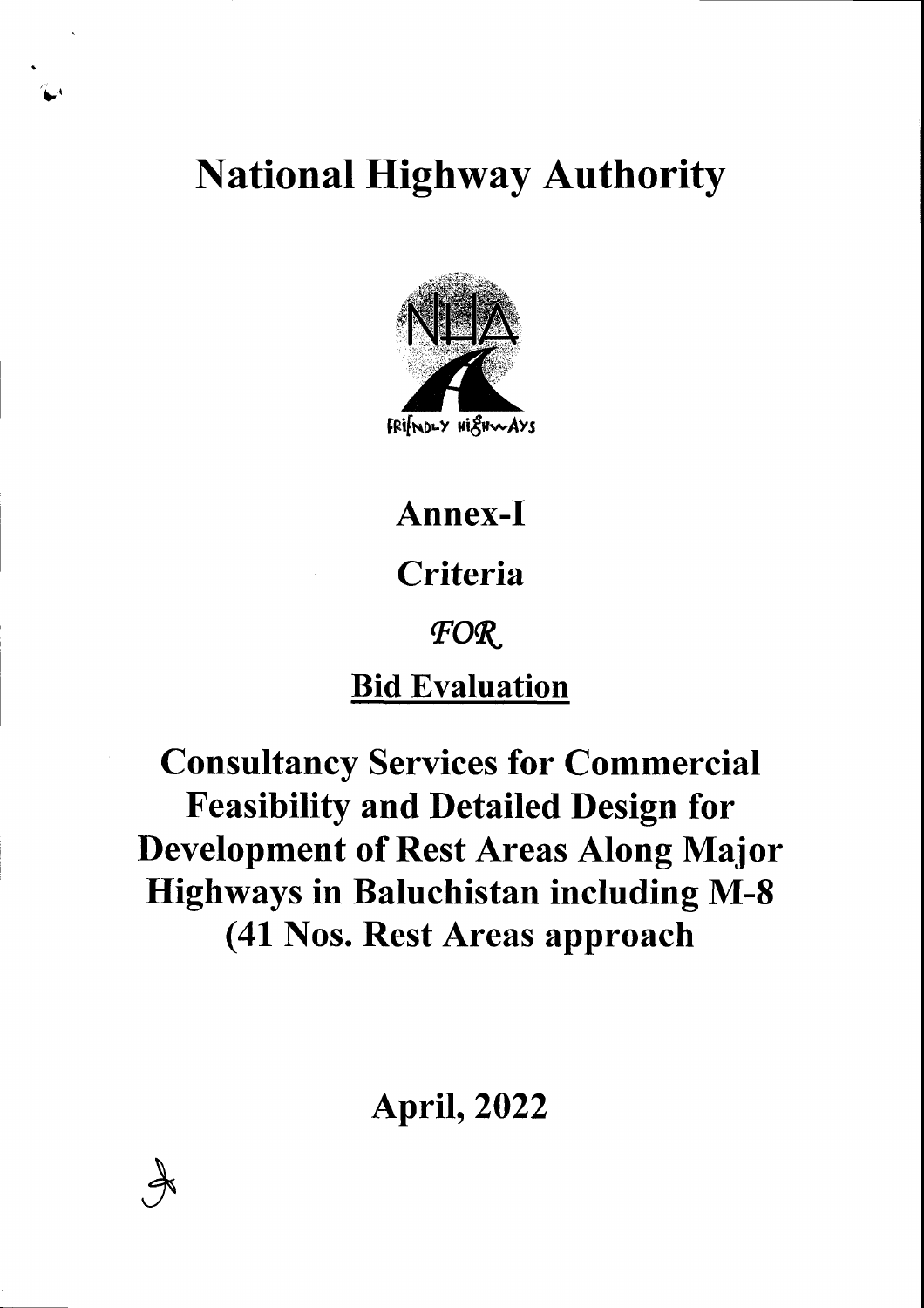**National Highway Authority** 



# Annex-I Criteria FOR **Bid Evaluation**

**Consultancy Services for Commercial Feasibility and Detailed Design for Development of Rest Areas Along Major Highways in Baluchistan including M-8** (41 Nos. Rest Areas approach

**April, 2022**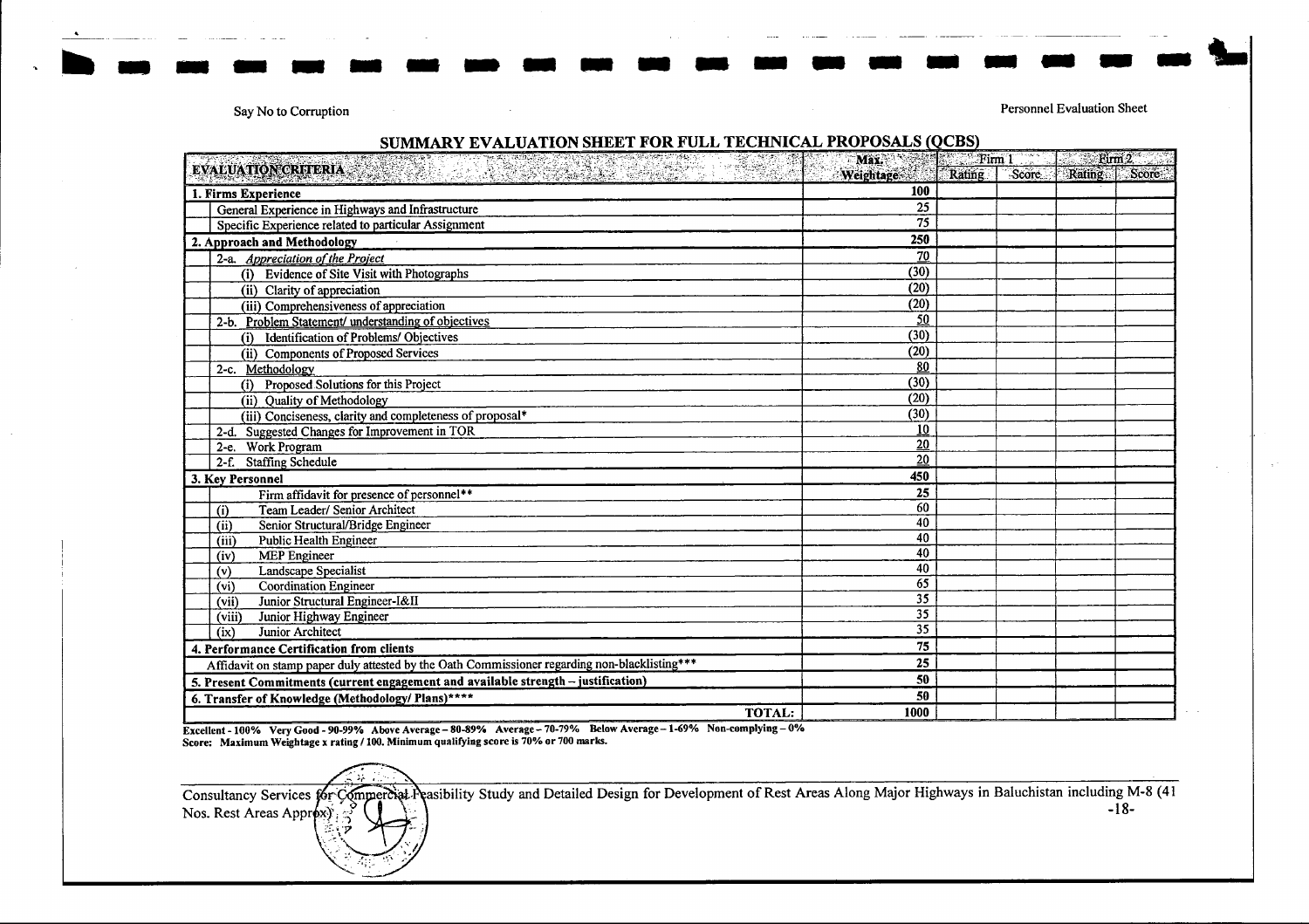Say No to Corruption

Personnel Evaluation Sheet

#### SUMMARY EVALUATION SHEET FOR FULL TECHNICAL PROPOSALS (QCBS) Max Electric Firm 1  $\sim$  Firm 2 EVALUATION CRITERIA **Weightage** Rating Score Rating Score  $\overline{100}$ 1. Firms Experience  $\overline{25}$ General Experience in Highways and Infrastructure  $\overline{75}$ Specific Experience related to particular Assignment  $\overline{250}$ 2. Approach and Methodology  $\overline{70}$ 2-a. Appreciation of the Project (i) Evidence of Site Visit with Photographs  $(30)$ (ii) Clarity of appreciation  $(20)$  $(20)$ (iii) Comprehensiveness of appreciation 2-b. Problem Statement/ understanding of objectives 50 (i) Identification of Problems/ Objectives  $(30)$  $(20)$ (ii) Components of Proposed Services  $80$ 2-c. Methodology  $(30)$ (i) Proposed Solutions for this Project (ii) Quality of Methodology  $(20)$  $(30)$ (iii) Conciseness, clarity and completeness of proposal\* 2-d. Suggested Changes for Improvement in TOR  $\overline{10}$ 2-e. Work Program  $\overline{20}$  $20<sub>2</sub>$ 2-f. Staffing Schedule  $450$ 3. Key Personnel  $\overline{25}$ Firm affidavit for presence of personnel\*\*  $60$ Team Leader/ Senior Architect  $\overline{a}$  $40$ Senior Structural/Bridge Engineer  $(ii)$  $40$ Public Health Engineer (iii)  $40$  $(iv)$ **MEP** Engineer  $\overline{40}$ Landscape Specialist  $(v)$  $\overline{65}$  $(v_i)$ **Coordination Engineer**  $\overline{35}$ Junior Structural Engineer-I&II  $(vii)$  $35$ Junior Highway Engineer (viii)  $\overline{35}$ Junior Architect  $(x)$  $\overline{75}$ 4. Performance Certification from clients  $\overline{25}$ Affidavit on stamp paper duly attested by the Oath Commissioner regarding non-blacklisting\*\*\*  $50$ 5. Present Commitments (current engagement and available strength - justification)  $50$ 6. Transfer of Knowledge (Methodology/ Plans)\*\*\*\* **TOTAL:** 1000

Excellent - 100% Very Good - 90-99% Above Average - 80-89% Average - 70-79% Below Average - 1-69% Non-complying - 0% Score: Maximum Weightage x rating / 100. Minimum qualifying score is 70% or 700 marks.

Consultancy Services for Commercial Peasibility Study and Detailed Design for Development of Rest Areas Along Major Highways in Baluchistan including M-8 (41  $-18-$ Nos. Rest Areas Approxy